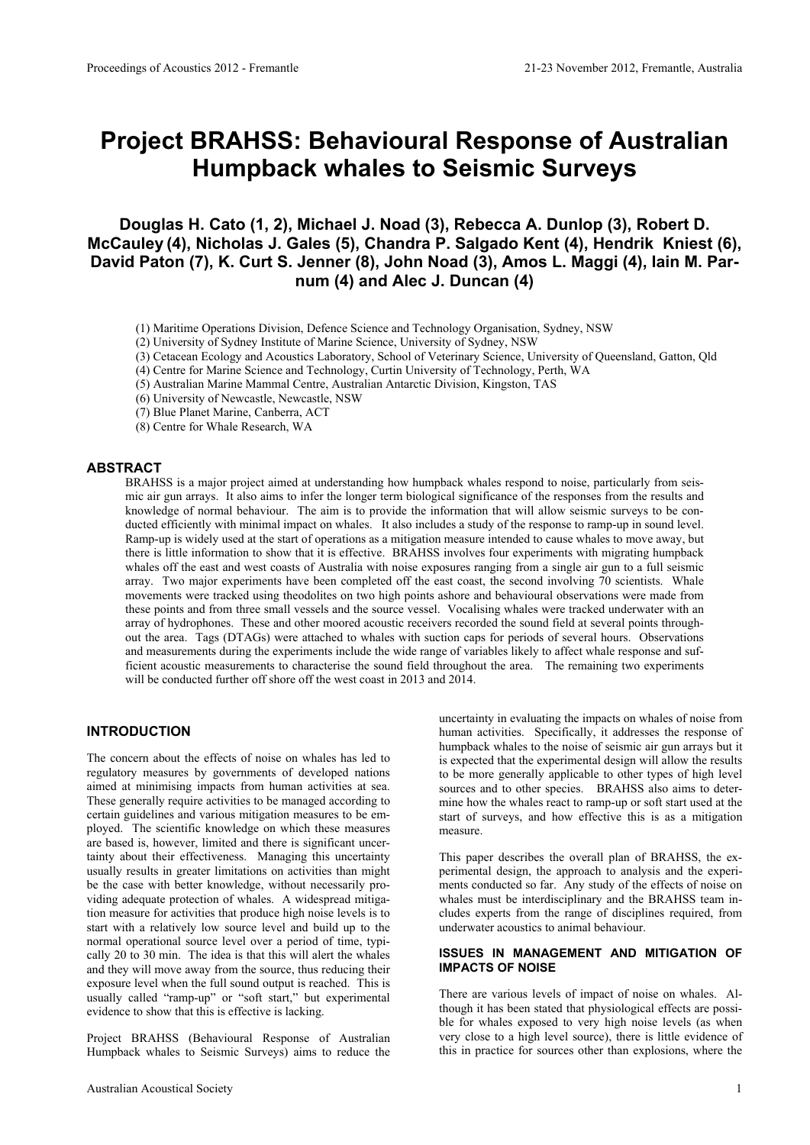# **Project BRAHSS: Behavioural Response of Australian Humpback whales to Seismic Surveys**

# **Douglas H. Cato (1, 2), Michael J. Noad (3), Rebecca A. Dunlop (3), Robert D. McCauley (4), Nicholas J. Gales (5), Chandra P. Salgado Kent (4), Hendrik Kniest (6), David Paton (7), K. Curt S. Jenner (8), John Noad (3), Amos L. Maggi (4), Iain M. Parnum (4) and Alec J. Duncan (4)**

- (1) Maritime Operations Division, Defence Science and Technology Organisation, Sydney, NSW
- (2) University of Sydney Institute of Marine Science, University of Sydney, NSW
- (3) Cetacean Ecology and Acoustics Laboratory, School of Veterinary Science, University of Queensland, Gatton, Qld
- (4) Centre for Marine Science and Technology, Curtin University of Technology, Perth, WA
- (5) Australian Marine Mammal Centre, Australian Antarctic Division, Kingston, TAS

(6) University of Newcastle, Newcastle, NSW

(7) Blue Planet Marine, Canberra, ACT

(8) Centre for Whale Research, WA

## **ABSTRACT**

BRAHSS is a major project aimed at understanding how humpback whales respond to noise, particularly from seismic air gun arrays. It also aims to infer the longer term biological significance of the responses from the results and knowledge of normal behaviour. The aim is to provide the information that will allow seismic surveys to be conducted efficiently with minimal impact on whales. It also includes a study of the response to ramp-up in sound level. Ramp-up is widely used at the start of operations as a mitigation measure intended to cause whales to move away, but there is little information to show that it is effective. BRAHSS involves four experiments with migrating humpback whales off the east and west coasts of Australia with noise exposures ranging from a single air gun to a full seismic array. Two major experiments have been completed off the east coast, the second involving 70 scientists. Whale movements were tracked using theodolites on two high points ashore and behavioural observations were made from these points and from three small vessels and the source vessel. Vocalising whales were tracked underwater with an array of hydrophones. These and other moored acoustic receivers recorded the sound field at several points throughout the area. Tags (DTAGs) were attached to whales with suction caps for periods of several hours. Observations and measurements during the experiments include the wide range of variables likely to affect whale response and sufficient acoustic measurements to characterise the sound field throughout the area. The remaining two experiments will be conducted further off shore off the west coast in 2013 and 2014.

## **INTRODUCTION**

The concern about the effects of noise on whales has led to regulatory measures by governments of developed nations aimed at minimising impacts from human activities at sea. These generally require activities to be managed according to certain guidelines and various mitigation measures to be employed. The scientific knowledge on which these measures are based is, however, limited and there is significant uncertainty about their effectiveness. Managing this uncertainty usually results in greater limitations on activities than might be the case with better knowledge, without necessarily providing adequate protection of whales. A widespread mitigation measure for activities that produce high noise levels is to start with a relatively low source level and build up to the normal operational source level over a period of time, typically 20 to 30 min. The idea is that this will alert the whales and they will move away from the source, thus reducing their exposure level when the full sound output is reached. This is usually called "ramp-up" or "soft start," but experimental evidence to show that this is effective is lacking.

Project BRAHSS (Behavioural Response of Australian Humpback whales to Seismic Surveys) aims to reduce the

uncertainty in evaluating the impacts on whales of noise from human activities. Specifically, it addresses the response of humpback whales to the noise of seismic air gun arrays but it is expected that the experimental design will allow the results to be more generally applicable to other types of high level sources and to other species. BRAHSS also aims to determine how the whales react to ramp-up or soft start used at the start of surveys, and how effective this is as a mitigation measure.

This paper describes the overall plan of BRAHSS, the experimental design, the approach to analysis and the experiments conducted so far. Any study of the effects of noise on whales must be interdisciplinary and the BRAHSS team includes experts from the range of disciplines required, from underwater acoustics to animal behaviour.

#### **ISSUES IN MANAGEMENT AND MITIGATION OF IMPACTS OF NOISE**

There are various levels of impact of noise on whales. Although it has been stated that physiological effects are possible for whales exposed to very high noise levels (as when very close to a high level source), there is little evidence of this in practice for sources other than explosions, where the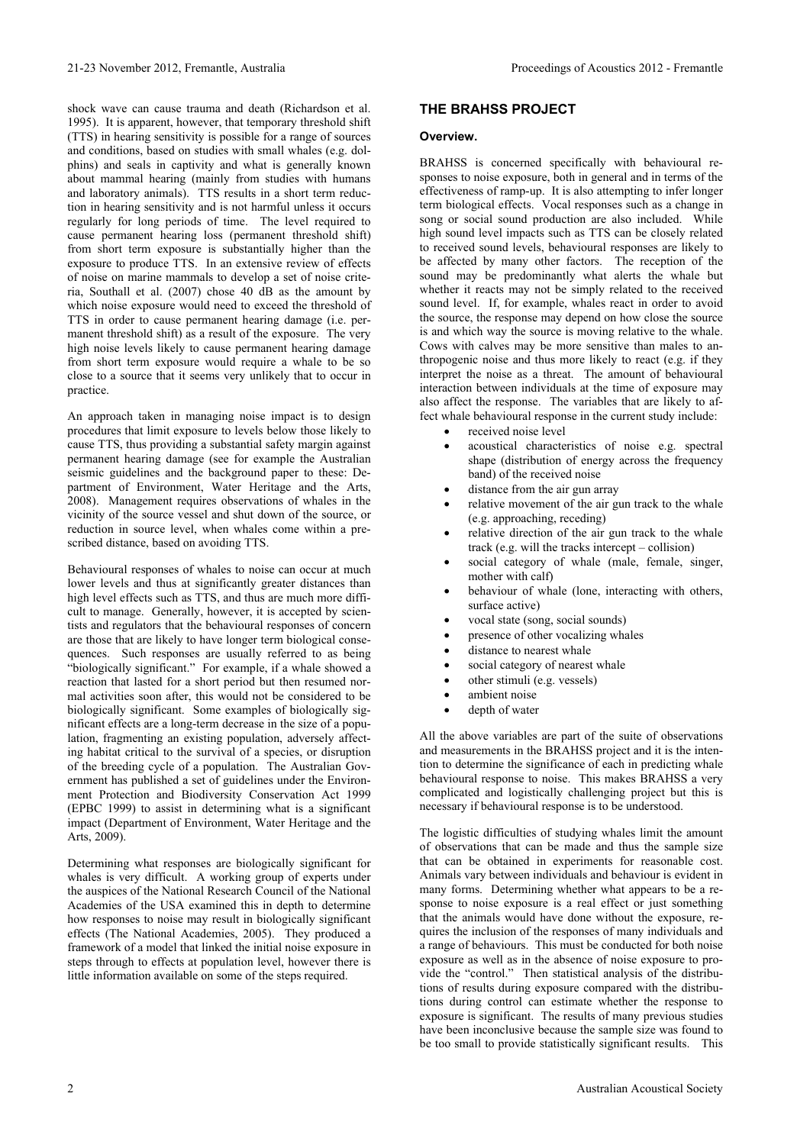shock wave can cause trauma and death (Richardson et al. 1995). It is apparent, however, that temporary threshold shift (TTS) in hearing sensitivity is possible for a range of sources and conditions, based on studies with small whales (e.g. dolphins) and seals in captivity and what is generally known about mammal hearing (mainly from studies with humans and laboratory animals). TTS results in a short term reduction in hearing sensitivity and is not harmful unless it occurs regularly for long periods of time. The level required to cause permanent hearing loss (permanent threshold shift) from short term exposure is substantially higher than the exposure to produce TTS. In an extensive review of effects of noise on marine mammals to develop a set of noise criteria, Southall et al.  $(2007)$  chose 40 dB as the amount by which noise exposure would need to exceed the threshold of TTS in order to cause permanent hearing damage (i.e. permanent threshold shift) as a result of the exposure. The very high noise levels likely to cause permanent hearing damage from short term exposure would require a whale to be so close to a source that it seems very unlikely that to occur in practice.

An approach taken in managing noise impact is to design procedures that limit exposure to levels below those likely to cause TTS, thus providing a substantial safety margin against permanent hearing damage (see for example the Australian seismic guidelines and the background paper to these: Department of Environment, Water Heritage and the Arts, 2008). Management requires observations of whales in the vicinity of the source vessel and shut down of the source, or reduction in source level, when whales come within a prescribed distance, based on avoiding TTS.

Behavioural responses of whales to noise can occur at much lower levels and thus at significantly greater distances than high level effects such as TTS, and thus are much more difficult to manage. Generally, however, it is accepted by scientists and regulators that the behavioural responses of concern are those that are likely to have longer term biological consequences. Such responses are usually referred to as being "biologically significant." For example, if a whale showed a reaction that lasted for a short period but then resumed normal activities soon after, this would not be considered to be biologically significant. Some examples of biologically significant effects are a long-term decrease in the size of a population, fragmenting an existing population, adversely affecting habitat critical to the survival of a species, or disruption of the breeding cycle of a population. The Australian Government has published a set of guidelines under the Environment Protection and Biodiversity Conservation Act 1999 (EPBC 1999) to assist in determining what is a significant impact (Department of Environment, Water Heritage and the Arts, 2009).

Determining what responses are biologically significant for whales is very difficult. A working group of experts under the auspices of the National Research Council of the National Academies of the USA examined this in depth to determine how responses to noise may result in biologically significant effects (The National Academies, 2005). They produced a framework of a model that linked the initial noise exposure in steps through to effects at population level, however there is little information available on some of the steps required.

## **THE BRAHSS PROJECT**

#### **Overview.**

BRAHSS is concerned specifically with behavioural responses to noise exposure, both in general and in terms of the effectiveness of ramp-up. It is also attempting to infer longer term biological effects. Vocal responses such as a change in song or social sound production are also included. While high sound level impacts such as TTS can be closely related to received sound levels, behavioural responses are likely to be affected by many other factors. The reception of the sound may be predominantly what alerts the whale but whether it reacts may not be simply related to the received sound level. If, for example, whales react in order to avoid the source, the response may depend on how close the source is and which way the source is moving relative to the whale. Cows with calves may be more sensitive than males to anthropogenic noise and thus more likely to react (e.g. if they interpret the noise as a threat. The amount of behavioural interaction between individuals at the time of exposure may also affect the response. The variables that are likely to affect whale behavioural response in the current study include:

- received noise level
- acoustical characteristics of noise e.g. spectral shape (distribution of energy across the frequency band) of the received noise
- distance from the air gun array
- relative movement of the air gun track to the whale (e.g. approaching, receding)
- relative direction of the air gun track to the whale track (e.g. will the tracks intercept – collision)
- social category of whale (male, female, singer, mother with calf)
- behaviour of whale (lone, interacting with others, surface active)
- vocal state (song, social sounds)
- presence of other vocalizing whales
- distance to nearest whale
- social category of nearest whale
- other stimuli (e.g. vessels)
- ambient noise
- depth of water

All the above variables are part of the suite of observations and measurements in the BRAHSS project and it is the intention to determine the significance of each in predicting whale behavioural response to noise. This makes BRAHSS a very complicated and logistically challenging project but this is necessary if behavioural response is to be understood.

The logistic difficulties of studying whales limit the amount of observations that can be made and thus the sample size that can be obtained in experiments for reasonable cost. Animals vary between individuals and behaviour is evident in many forms. Determining whether what appears to be a response to noise exposure is a real effect or just something that the animals would have done without the exposure, requires the inclusion of the responses of many individuals and a range of behaviours. This must be conducted for both noise exposure as well as in the absence of noise exposure to provide the "control." Then statistical analysis of the distributions of results during exposure compared with the distributions during control can estimate whether the response to exposure is significant. The results of many previous studies have been inconclusive because the sample size was found to be too small to provide statistically significant results. This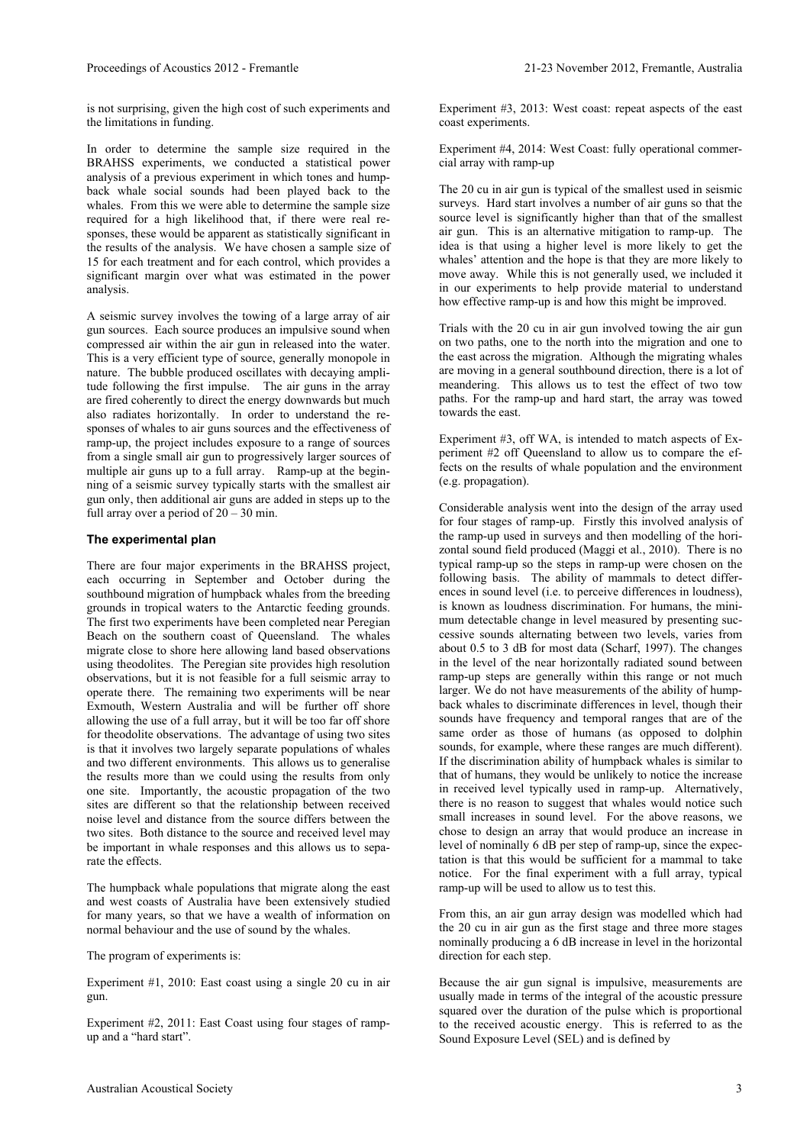is not surprising, given the high cost of such experiments and the limitations in funding.

In order to determine the sample size required in the BRAHSS experiments, we conducted a statistical power analysis of a previous experiment in which tones and humpback whale social sounds had been played back to the whales. From this we were able to determine the sample size required for a high likelihood that, if there were real responses, these would be apparent as statistically significant in the results of the analysis. We have chosen a sample size of 15 for each treatment and for each control, which provides a significant margin over what was estimated in the power analysis.

A seismic survey involves the towing of a large array of air gun sources. Each source produces an impulsive sound when compressed air within the air gun in released into the water. This is a very efficient type of source, generally monopole in nature. The bubble produced oscillates with decaying amplitude following the first impulse. The air guns in the array are fired coherently to direct the energy downwards but much also radiates horizontally. In order to understand the responses of whales to air guns sources and the effectiveness of ramp-up, the project includes exposure to a range of sources from a single small air gun to progressively larger sources of multiple air guns up to a full array. Ramp-up at the beginning of a seismic survey typically starts with the smallest air gun only, then additional air guns are added in steps up to the full array over a period of  $20 - 30$  min.

#### **The experimental plan**

There are four major experiments in the BRAHSS project, each occurring in September and October during the southbound migration of humpback whales from the breeding grounds in tropical waters to the Antarctic feeding grounds. The first two experiments have been completed near Peregian Beach on the southern coast of Queensland. The whales migrate close to shore here allowing land based observations using theodolites. The Peregian site provides high resolution observations, but it is not feasible for a full seismic array to operate there. The remaining two experiments will be near Exmouth, Western Australia and will be further off shore allowing the use of a full array, but it will be too far off shore for theodolite observations. The advantage of using two sites is that it involves two largely separate populations of whales and two different environments. This allows us to generalise the results more than we could using the results from only one site. Importantly, the acoustic propagation of the two sites are different so that the relationship between received noise level and distance from the source differs between the two sites. Both distance to the source and received level may be important in whale responses and this allows us to separate the effects.

The humpback whale populations that migrate along the east and west coasts of Australia have been extensively studied for many years, so that we have a wealth of information on normal behaviour and the use of sound by the whales.

The program of experiments is:

Experiment #1, 2010: East coast using a single 20 cu in air gun.

Experiment #2, 2011: East Coast using four stages of rampup and a "hard start".

Experiment #3, 2013: West coast: repeat aspects of the east coast experiments.

Experiment #4, 2014: West Coast: fully operational commercial array with ramp-up

The 20 cu in air gun is typical of the smallest used in seismic surveys. Hard start involves a number of air guns so that the source level is significantly higher than that of the smallest air gun. This is an alternative mitigation to ramp-up. The idea is that using a higher level is more likely to get the whales' attention and the hope is that they are more likely to move away. While this is not generally used, we included it in our experiments to help provide material to understand how effective ramp-up is and how this might be improved.

Trials with the 20 cu in air gun involved towing the air gun on two paths, one to the north into the migration and one to the east across the migration. Although the migrating whales are moving in a general southbound direction, there is a lot of meandering. This allows us to test the effect of two tow paths. For the ramp-up and hard start, the array was towed towards the east.

Experiment #3, off WA, is intended to match aspects of Experiment #2 off Queensland to allow us to compare the effects on the results of whale population and the environment (e.g. propagation).

Considerable analysis went into the design of the array used for four stages of ramp-up. Firstly this involved analysis of the ramp-up used in surveys and then modelling of the horizontal sound field produced (Maggi et al., 2010). There is no typical ramp-up so the steps in ramp-up were chosen on the following basis. The ability of mammals to detect differences in sound level (i.e. to perceive differences in loudness), is known as loudness discrimination. For humans, the minimum detectable change in level measured by presenting successive sounds alternating between two levels, varies from about 0.5 to 3 dB for most data (Scharf, 1997). The changes in the level of the near horizontally radiated sound between ramp-up steps are generally within this range or not much larger. We do not have measurements of the ability of humpback whales to discriminate differences in level, though their sounds have frequency and temporal ranges that are of the same order as those of humans (as opposed to dolphin sounds, for example, where these ranges are much different). If the discrimination ability of humpback whales is similar to that of humans, they would be unlikely to notice the increase in received level typically used in ramp-up. Alternatively, there is no reason to suggest that whales would notice such small increases in sound level. For the above reasons, we chose to design an array that would produce an increase in level of nominally 6 dB per step of ramp-up, since the expectation is that this would be sufficient for a mammal to take notice. For the final experiment with a full array, typical ramp-up will be used to allow us to test this.

From this, an air gun array design was modelled which had the 20 cu in air gun as the first stage and three more stages nominally producing a 6 dB increase in level in the horizontal direction for each step.

Because the air gun signal is impulsive, measurements are usually made in terms of the integral of the acoustic pressure squared over the duration of the pulse which is proportional to the received acoustic energy. This is referred to as the Sound Exposure Level (SEL) and is defined by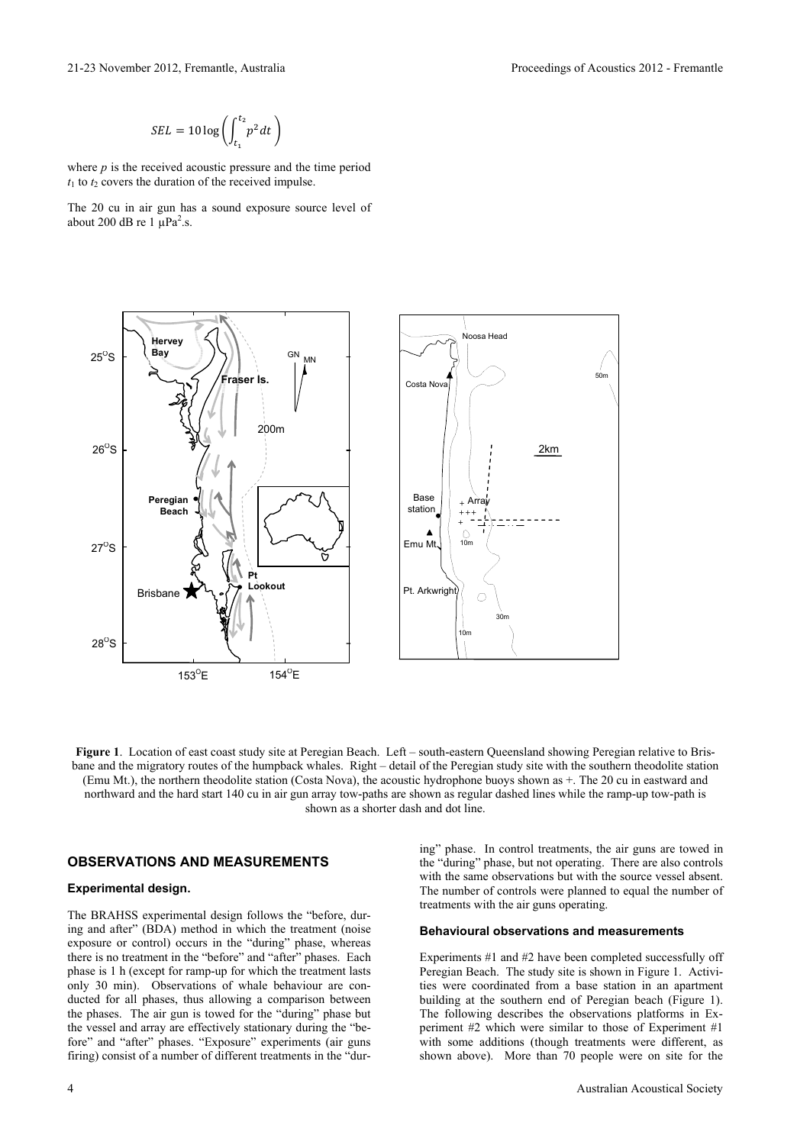21-23 November 2012, Fremantle, Australia Proceedings of Acoustics 2012 - Fremantle

$$
SEL = 10 \log \left( \int_{t_1}^{t_2} p^2 dt \right)
$$

where *p* is the received acoustic pressure and the time period  $t_1$  to  $t_2$  covers the duration of the received impulse.

The 20 cu in air gun has a sound exposure source level of about 200 dB re  $1 \mu Pa^2$ .s.



**Figure 1**. Location of east coast study site at Peregian Beach. Left – south-eastern Queensland showing Peregian relative to Brisbane and the migratory routes of the humpback whales. Right – detail of the Peregian study site with the southern theodolite station (Emu Mt.), the northern theodolite station (Costa Nova), the acoustic hydrophone buoys shown as +. The 20 cu in eastward and northward and the hard start 140 cu in air gun array tow-paths are shown as regular dashed lines while the ramp-up tow-path is shown as a shorter dash and dot line.

### **OBSERVATIONS AND MEASUREMENTS**

#### **Experimental design.**

The BRAHSS experimental design follows the "before, during and after" (BDA) method in which the treatment (noise exposure or control) occurs in the "during" phase, whereas there is no treatment in the "before" and "after" phases. Each phase is 1 h (except for ramp-up for which the treatment lasts only 30 min). Observations of whale behaviour are conducted for all phases, thus allowing a comparison between the phases. The air gun is towed for the "during" phase but the vessel and array are effectively stationary during the "before" and "after" phases. "Exposure" experiments (air guns firing) consist of a number of different treatments in the "during" phase. In control treatments, the air guns are towed in the "during" phase, but not operating. There are also controls with the same observations but with the source vessel absent. The number of controls were planned to equal the number of treatments with the air guns operating.

#### **Behavioural observations and measurements**

Experiments #1 and #2 have been completed successfully off Peregian Beach. The study site is shown in Figure 1. Activities were coordinated from a base station in an apartment building at the southern end of Peregian beach (Figure 1). The following describes the observations platforms in Experiment #2 which were similar to those of Experiment #1 with some additions (though treatments were different, as shown above). More than 70 people were on site for the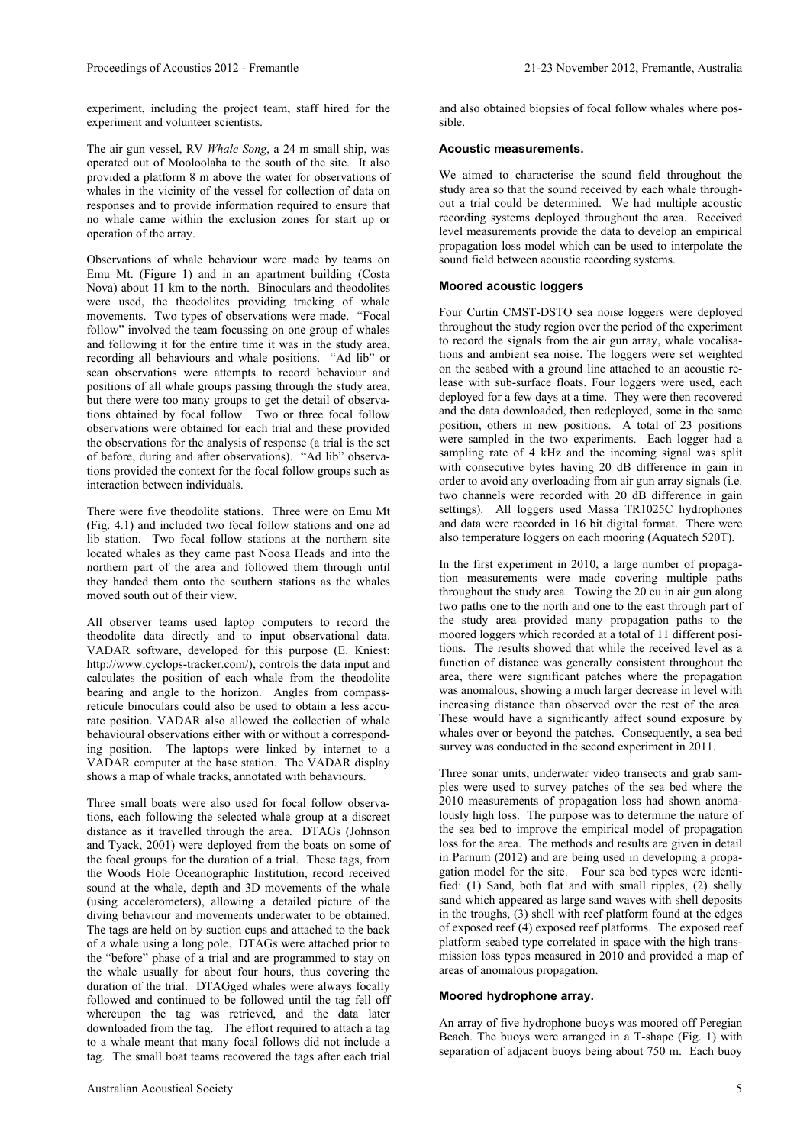experiment, including the project team, staff hired for the experiment and volunteer scientists.

The air gun vessel, RV *Whale Song*, a 24 m small ship, was operated out of Mooloolaba to the south of the site. It also provided a platform 8 m above the water for observations of whales in the vicinity of the vessel for collection of data on responses and to provide information required to ensure that no whale came within the exclusion zones for start up or operation of the array.

Observations of whale behaviour were made by teams on Emu Mt. (Figure 1) and in an apartment building (Costa Nova) about 11 km to the north. Binoculars and theodolites were used, the theodolites providing tracking of whale movements. Two types of observations were made. "Focal follow" involved the team focussing on one group of whales and following it for the entire time it was in the study area, recording all behaviours and whale positions. "Ad lib" or scan observations were attempts to record behaviour and positions of all whale groups passing through the study area, but there were too many groups to get the detail of observations obtained by focal follow. Two or three focal follow observations were obtained for each trial and these provided the observations for the analysis of response (a trial is the set of before, during and after observations). "Ad lib" observations provided the context for the focal follow groups such as interaction between individuals.

There were five theodolite stations. Three were on Emu Mt (Fig. 4.1) and included two focal follow stations and one ad lib station. Two focal follow stations at the northern site located whales as they came past Noosa Heads and into the northern part of the area and followed them through until they handed them onto the southern stations as the whales moved south out of their view.

All observer teams used laptop computers to record the theodolite data directly and to input observational data. VADAR software, developed for this purpose (E. Kniest: http://www.cyclops-tracker.com/), controls the data input and calculates the position of each whale from the theodolite bearing and angle to the horizon. Angles from compassreticule binoculars could also be used to obtain a less accurate position. VADAR also allowed the collection of whale behavioural observations either with or without a corresponding position. The laptops were linked by internet to a VADAR computer at the base station. The VADAR display shows a map of whale tracks, annotated with behaviours.

Three small boats were also used for focal follow observations, each following the selected whale group at a discreet distance as it travelled through the area. DTAGs (Johnson and Tyack, 2001) were deployed from the boats on some of the focal groups for the duration of a trial. These tags, from the Woods Hole Oceanographic Institution, record received sound at the whale, depth and 3D movements of the whale (using accelerometers), allowing a detailed picture of the diving behaviour and movements underwater to be obtained. The tags are held on by suction cups and attached to the back of a whale using a long pole. DTAGs were attached prior to the "before" phase of a trial and are programmed to stay on the whale usually for about four hours, thus covering the duration of the trial. DTAGged whales were always focally followed and continued to be followed until the tag fell off whereupon the tag was retrieved, and the data later downloaded from the tag. The effort required to attach a tag to a whale meant that many focal follows did not include a tag. The small boat teams recovered the tags after each trial

and also obtained biopsies of focal follow whales where possible.

#### **Acoustic measurements.**

We aimed to characterise the sound field throughout the study area so that the sound received by each whale throughout a trial could be determined. We had multiple acoustic recording systems deployed throughout the area. Received level measurements provide the data to develop an empirical propagation loss model which can be used to interpolate the sound field between acoustic recording systems.

#### **Moored acoustic loggers**

Four Curtin CMST-DSTO sea noise loggers were deployed throughout the study region over the period of the experiment to record the signals from the air gun array, whale vocalisations and ambient sea noise. The loggers were set weighted on the seabed with a ground line attached to an acoustic release with sub-surface floats. Four loggers were used, each deployed for a few days at a time. They were then recovered and the data downloaded, then redeployed, some in the same position, others in new positions. A total of 23 positions were sampled in the two experiments. Each logger had a sampling rate of 4 kHz and the incoming signal was split with consecutive bytes having 20 dB difference in gain in order to avoid any overloading from air gun array signals (i.e. two channels were recorded with 20 dB difference in gain settings). All loggers used Massa TR1025C hydrophones and data were recorded in 16 bit digital format. There were also temperature loggers on each mooring (Aquatech 520T).

In the first experiment in 2010, a large number of propagation measurements were made covering multiple paths throughout the study area. Towing the 20 cu in air gun along two paths one to the north and one to the east through part of the study area provided many propagation paths to the moored loggers which recorded at a total of 11 different positions. The results showed that while the received level as a function of distance was generally consistent throughout the area, there were significant patches where the propagation was anomalous, showing a much larger decrease in level with increasing distance than observed over the rest of the area. These would have a significantly affect sound exposure by whales over or beyond the patches. Consequently, a sea bed survey was conducted in the second experiment in 2011.

Three sonar units, underwater video transects and grab samples were used to survey patches of the sea bed where the 2010 measurements of propagation loss had shown anomalously high loss. The purpose was to determine the nature of the sea bed to improve the empirical model of propagation loss for the area. The methods and results are given in detail in Parnum (2012) and are being used in developing a propagation model for the site. Four sea bed types were identified: (1) Sand, both flat and with small ripples, (2) shelly sand which appeared as large sand waves with shell deposits in the troughs, (3) shell with reef platform found at the edges of exposed reef (4) exposed reef platforms. The exposed reef platform seabed type correlated in space with the high transmission loss types measured in 2010 and provided a map of areas of anomalous propagation.

#### **Moored hydrophone array.**

An array of five hydrophone buoys was moored off Peregian Beach. The buoys were arranged in a T-shape (Fig. 1) with separation of adjacent buoys being about 750 m. Each buoy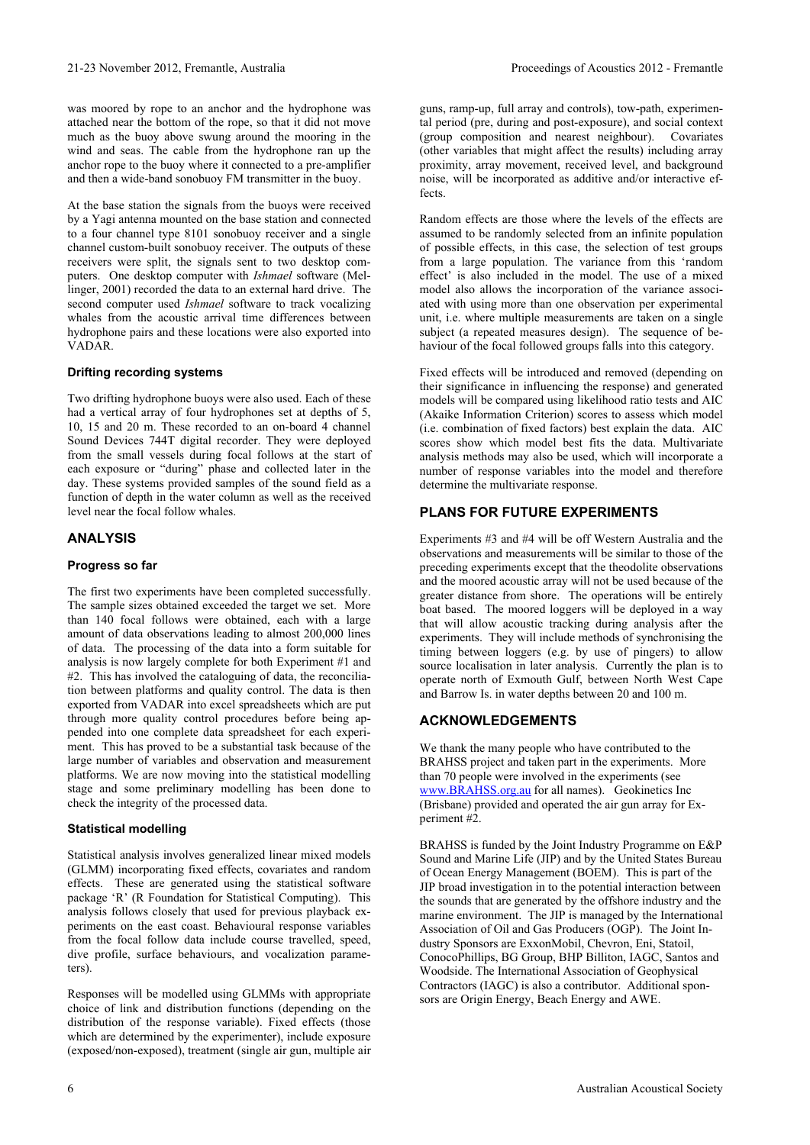was moored by rope to an anchor and the hydrophone was attached near the bottom of the rope, so that it did not move much as the buoy above swung around the mooring in the wind and seas. The cable from the hydrophone ran up the anchor rope to the buoy where it connected to a pre-amplifier and then a wide-band sonobuoy FM transmitter in the buoy.

At the base station the signals from the buoys were received by a Yagi antenna mounted on the base station and connected to a four channel type 8101 sonobuoy receiver and a single channel custom-built sonobuoy receiver. The outputs of these receivers were split, the signals sent to two desktop computers. One desktop computer with *Ishmael* software (Mellinger, 2001) recorded the data to an external hard drive. The second computer used *Ishmael* software to track vocalizing whales from the acoustic arrival time differences between hydrophone pairs and these locations were also exported into VADAR.

## **Drifting recording systems**

Two drifting hydrophone buoys were also used. Each of these had a vertical array of four hydrophones set at depths of 5, 10, 15 and 20 m. These recorded to an on-board 4 channel Sound Devices 744T digital recorder. They were deployed from the small vessels during focal follows at the start of each exposure or "during" phase and collected later in the day. These systems provided samples of the sound field as a function of depth in the water column as well as the received level near the focal follow whales.

## **ANALYSIS**

## **Progress so far**

The first two experiments have been completed successfully. The sample sizes obtained exceeded the target we set. More than 140 focal follows were obtained, each with a large amount of data observations leading to almost 200,000 lines of data. The processing of the data into a form suitable for analysis is now largely complete for both Experiment #1 and #2. This has involved the cataloguing of data, the reconciliation between platforms and quality control. The data is then exported from VADAR into excel spreadsheets which are put through more quality control procedures before being appended into one complete data spreadsheet for each experiment. This has proved to be a substantial task because of the large number of variables and observation and measurement platforms. We are now moving into the statistical modelling stage and some preliminary modelling has been done to check the integrity of the processed data.

## **Statistical modelling**

Statistical analysis involves generalized linear mixed models (GLMM) incorporating fixed effects, covariates and random effects. These are generated using the statistical software package 'R' (R Foundation for Statistical Computing). This analysis follows closely that used for previous playback experiments on the east coast. Behavioural response variables from the focal follow data include course travelled, speed, dive profile, surface behaviours, and vocalization parameters).

Responses will be modelled using GLMMs with appropriate choice of link and distribution functions (depending on the distribution of the response variable). Fixed effects (those which are determined by the experimenter), include exposure (exposed/non-exposed), treatment (single air gun, multiple air guns, ramp-up, full array and controls), tow-path, experimental period (pre, during and post-exposure), and social context (group composition and nearest neighbour). Covariates (other variables that might affect the results) including array proximity, array movement, received level, and background noise, will be incorporated as additive and/or interactive effects.

Random effects are those where the levels of the effects are assumed to be randomly selected from an infinite population of possible effects, in this case, the selection of test groups from a large population. The variance from this 'random effect' is also included in the model. The use of a mixed model also allows the incorporation of the variance associated with using more than one observation per experimental unit, i.e. where multiple measurements are taken on a single subject (a repeated measures design). The sequence of behaviour of the focal followed groups falls into this category.

Fixed effects will be introduced and removed (depending on their significance in influencing the response) and generated models will be compared using likelihood ratio tests and AIC (Akaike Information Criterion) scores to assess which model (i.e. combination of fixed factors) best explain the data. AIC scores show which model best fits the data. Multivariate analysis methods may also be used, which will incorporate a number of response variables into the model and therefore determine the multivariate response.

## **PLANS FOR FUTURE EXPERIMENTS**

Experiments #3 and #4 will be off Western Australia and the observations and measurements will be similar to those of the preceding experiments except that the theodolite observations and the moored acoustic array will not be used because of the greater distance from shore. The operations will be entirely boat based. The moored loggers will be deployed in a way that will allow acoustic tracking during analysis after the experiments. They will include methods of synchronising the timing between loggers (e.g. by use of pingers) to allow source localisation in later analysis. Currently the plan is to operate north of Exmouth Gulf, between North West Cape and Barrow Is. in water depths between 20 and 100 m.

## **ACKNOWLEDGEMENTS**

We thank the many people who have contributed to the BRAHSS project and taken part in the experiments. More than 70 people were involved in the experiments (see www.BRAHSS.org.au for all names). Geokinetics Inc (Brisbane) provided and operated the air gun array for Experiment #2.

BRAHSS is funded by the Joint Industry Programme on E&P Sound and Marine Life (JIP) and by the United States Bureau of Ocean Energy Management (BOEM). This is part of the JIP broad investigation in to the potential interaction between the sounds that are generated by the offshore industry and the marine environment. The JIP is managed by the International Association of Oil and Gas Producers (OGP). The Joint Industry Sponsors are ExxonMobil, Chevron, Eni, Statoil, ConocoPhillips, BG Group, BHP Billiton, IAGC, Santos and Woodside. The International Association of Geophysical Contractors (IAGC) is also a contributor. Additional sponsors are Origin Energy, Beach Energy and AWE.